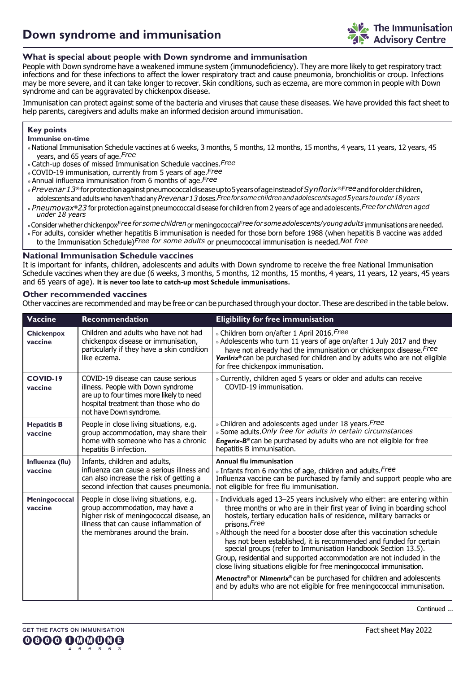## **What is special about people with Down syndrome and immunisation**

People with Down syndrome have a weakened immune system (immunodeficiency). They are more likely to get respiratory tract infections and for these infections to affect the lower respiratory tract and cause pneumonia, bronchiolitis or croup. Infections may be more severe, and it can take longer to recover. Skin conditions, such as eczema, are more common in people with Down syndrome and can be aggravated by chickenpox disease.

Immunisation can protect against some of the bacteria and viruses that cause these diseases. We have provided this fact sheet to help parents, caregivers and adults make an informed decision around immunisation.

### **Key points**

**Immunise on-time**

- »National Immunisation Schedule vaccines at 6 weeks, 3 months, 5 months, 12 months, 15 months, 4 years, 11 years, 12 years, 45 years, and 65 years of age.*Free*
- » Catch-up doses of missed Immunisation Schedule vaccines.*Free*
- » COVID-19 immunisation, currently from 5 years of age.*Free*
- » Annual influenza immunisation from 6 months of age.*Free*
- »*Prevenar13®* forprotectionagainstpneumococcaldiseaseupto5yearsofageinsteadof*Synflorix®Free*andforolderchildren, adolescents and adults who haven't had any*Prevenar13* doses.*Freeforsomechildrenandadolescentsaged5years tounder18years*
- *under 18 years* » *Pneumovax®23* for protection against pneumococcal disease for children from 2 years of age and adolescents.*Free for children aged*
- »Consider whether chickenpox*Free for somechildren*or meningococcal*Free for someadolescents/youngadults* immunisations are needed.
- » For adults, consider whether hepatitis B immunisation is needed for those born before 1988 (when hepatitis B vaccine was added to the Immunisation Schedule)*Free for some adults* or pneumococcal immunisation is needed.*Not free*

#### **National Immunisation Schedule vaccines**

It is important for infants, children, adolescents and adults with Down syndrome to receive the free National Immunisation Schedule vaccines when they are due (6 weeks, 3 months, 5 months, 12 months, 15 months, 4 years, 11 years, 12 years, 45 years and 65 years of age). **It is never too late to catch-up most Schedule immunisations.**

#### **Other recommended vaccines**

Other vaccines are recommended and may be free or can be purchased through your doctor. These are described in the table below.

| <b>Vaccine</b>                | <b>Recommendation</b>                                                                                                                                                                               | <b>Eligibility for free immunisation</b>                                                                                                                                                                                                                                                                                                                                                                                                                                                                                                                                                                                                                                                                                                                               |
|-------------------------------|-----------------------------------------------------------------------------------------------------------------------------------------------------------------------------------------------------|------------------------------------------------------------------------------------------------------------------------------------------------------------------------------------------------------------------------------------------------------------------------------------------------------------------------------------------------------------------------------------------------------------------------------------------------------------------------------------------------------------------------------------------------------------------------------------------------------------------------------------------------------------------------------------------------------------------------------------------------------------------------|
| <b>Chickenpox</b><br>vaccine  | Children and adults who have not had<br>chickenpox disease or immunisation,<br>particularly if they have a skin condition<br>like eczema.                                                           | » Children born on/after 1 April 2016. Free<br>» Adolescents who turn 11 years of age on/after 1 July 2017 and they<br>have not already had the immunisation or chickenpox disease. Free<br>Varilrix® can be purchased for children and by adults who are not eligible<br>for free chickenpox immunisation.                                                                                                                                                                                                                                                                                                                                                                                                                                                            |
| COVID-19<br>vaccine           | COVID-19 disease can cause serious<br>illness. People with Down syndrome<br>are up to four times more likely to need<br>hospital treatment than those who do<br>not have Down syndrome.             | » Currently, children aged 5 years or older and adults can receive<br>COVID-19 immunisation.                                                                                                                                                                                                                                                                                                                                                                                                                                                                                                                                                                                                                                                                           |
| <b>Hepatitis B</b><br>vaccine | People in close living situations, e.g.<br>group accommodation, may share their<br>home with someone who has a chronic<br>hepatitis B infection.                                                    | » Children and adolescents aged under 18 years. Free<br>» Some adults. Only free for adults in certain circumstances<br>Engerix-B <sup>®</sup> can be purchased by adults who are not eligible for free<br>hepatitis B immunisation.                                                                                                                                                                                                                                                                                                                                                                                                                                                                                                                                   |
| Influenza (flu)<br>vaccine    | Infants, children and adults,<br>influenza can cause a serious illness and<br>can also increase the risk of getting a<br>second infection that causes pneumonia.                                    | <b>Annual flu immunisation</b><br>» Infants from 6 months of age, children and adults. Free<br>Influenza vaccine can be purchased by family and support people who are<br>not eligible for free flu immunisation.                                                                                                                                                                                                                                                                                                                                                                                                                                                                                                                                                      |
| Meningococcal<br>vaccine      | People in close living situations, e.g.<br>group accommodation, may have a<br>higher risk of meningococcal disease, an<br>illness that can cause inflammation of<br>the membranes around the brain. | » Individuals aged 13-25 years inclusively who either: are entering within<br>three months or who are in their first year of living in boarding school<br>hostels, tertiary education halls of residence, military barracks or<br>prisons. Free<br>» Although the need for a booster dose after this vaccination schedule<br>has not been established, it is recommended and funded for certain<br>special groups (refer to Immunisation Handbook Section 13.5).<br>Group, residential and supported accommodation are not included in the<br>close living situations eligible for free meningococcal immunisation.<br>Menactra® or Nimenrix® can be purchased for children and adolescents<br>and by adults who are not eligible for free meningococcal immunisation. |